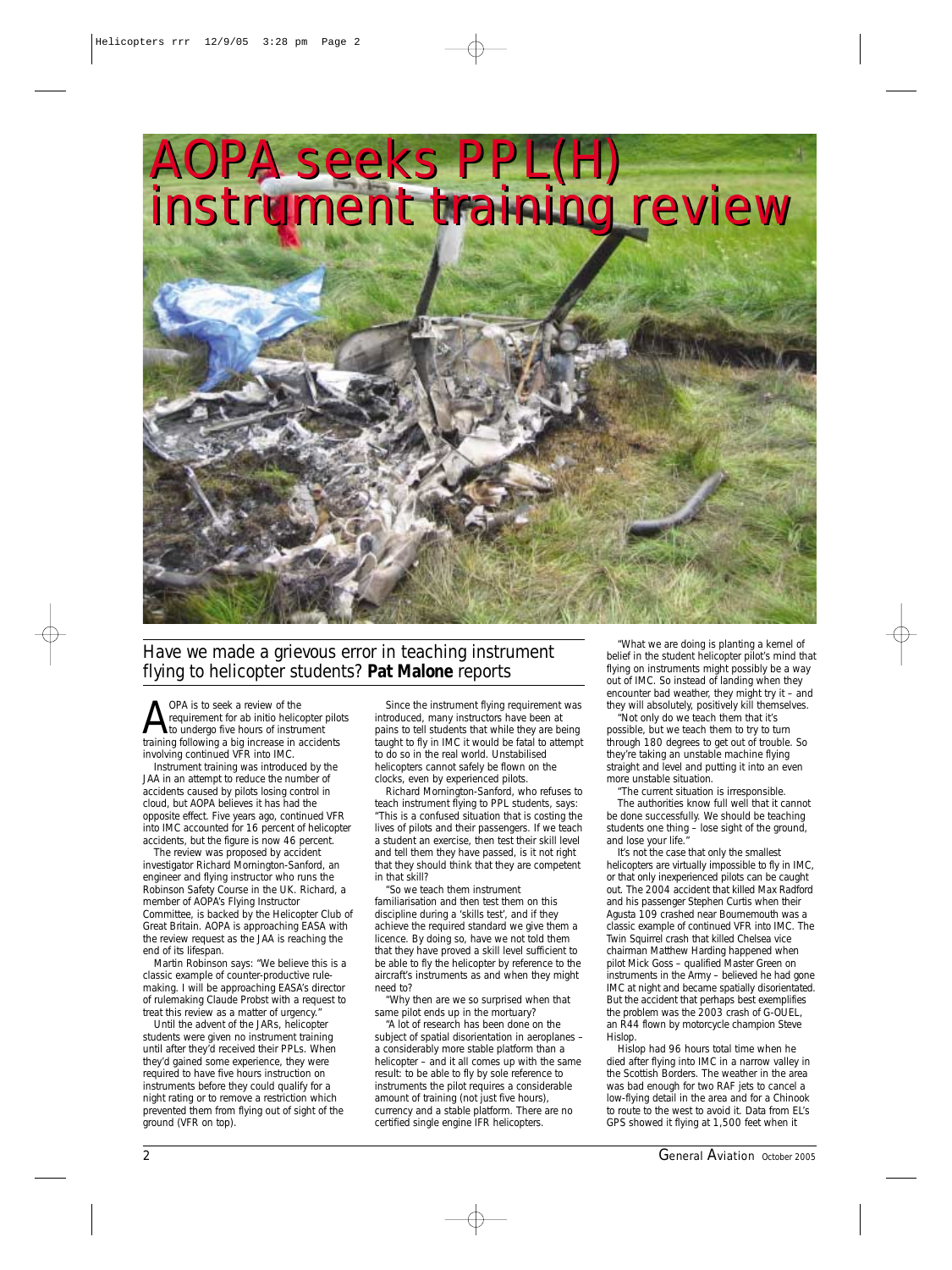

*Have we made a grievous error in teaching instrument flying to helicopter students? Pat Malone reports*

**A** OPA is to seek a review of the<br>requirement for ab initio helicopter<br>training following a big increase in accide requirement for ab initio helicopter pilots training following a big increase in accidents involving continued VFR into IMC.

Instrument training was introduced by the JAA in an attempt to reduce the number of accidents caused by pilots losing control in cloud, but AOPA believes it has had the opposite effect. Five years ago, continued VFR into IMC accounted for 16 percent of helicopter accidents, but the figure is now 46 percent.

The review was proposed by accident investigator Richard Mornington-Sanford, an engineer and flying instructor who runs the Robinson Safety Course in the UK. Richard, a member of AOPA's Flying Instructor Committee, is backed by the Helicopter Club of Great Britain. AOPA is approaching EASA with the review request as the JAA is reaching the end of its lifespan.

Martin Robinson says: "We believe this is a classic example of counter-productive rulemaking. I will be approaching EASA's director of rulemaking Claude Probst with a request to treat this review as a matter of urgency.

Until the advent of the JARs, helicopter students were given no instrument training until after they'd received their PPLs. When they'd gained some experience, they were required to have five hours instruction on instruments before they could qualify for a night rating or to remove a restriction which prevented them from flying out of sight of the ground (VFR on top).

Since the instrument flying requirement was introduced, many instructors have been at pains to tell students that while they are being taught to fly in IMC it would be fatal to attempt to do so in the real world. Unstabilised helicopters cannot safely be flown on the clocks, even by experienced pilots.

Richard Mornington-Sanford, who refuses to teach instrument flying to PPL students, says: "This is a confused situation that is costing the lives of pilots and their passengers. If we teach a student an exercise, then test their skill level and tell them they have passed, is it not right that they should think that they are competent in that skill?

"So we teach them instrument familiarisation and then test them on this discipline during a 'skills test', and if they achieve the required standard we give them a licence. By doing so, have we not told them that they have proved a skill level sufficient to be able to fly the helicopter by reference to the aircraft's instruments as and when they might need to?

"Why then are we so surprised when that same pilot ends up in the mortuary?

"A lot of research has been done on the subject of spatial disorientation in aeroplanes – a considerably more stable platform than a helicopter – and it all comes up with the same result: to be able to fly by sole reference to instruments the pilot requires a considerable amount of training (not just five hours), currency and a stable platform. There are no certified single engine IFR helicopters.

"What we are doing is planting a kernel of belief in the student helicopter pilot's mind that flying on instruments might possibly be a way out of IMC. So instead of landing when they encounter bad weather, they might try it – and they will absolutely, positively kill themselves.

"Not only do we teach them that it's possible, but we teach them to try to turn through 180 degrees to get out of trouble. So they're taking an unstable machine flying straight and level and putting it into an even more unstable situation.

"The current situation is irresponsible. The authorities know full well that it cannot be done successfully. We should be teaching students one thing – lose sight of the ground, and lose your life."

It's not the case that only the smallest helicopters are virtually impossible to fly in IMC, or that only inexperienced pilots can be caught out. The 2004 accident that killed Max Radford and his passenger Stephen Curtis when their Agusta 109 crashed near Bournemouth was a classic example of continued VFR into IMC. The Twin Squirrel crash that killed Chelsea vice chairman Matthew Harding happened when pilot Mick Goss – qualified Master Green on instruments in the Army – believed he had gone IMC at night and became spatially disorientated. But the accident that perhaps best exemplifies the problem was the 2003 crash of G-OUEL, an R44 flown by motorcycle champion Steve **Hislop.** 

Hislop had 96 hours total time when he died after flying into IMC in a narrow valley in the Scottish Borders. The weather in the area was bad enough for two RAF jets to cancel a low-flying detail in the area and for a Chinook to route to the west to avoid it. Data from EL's GPS showed it flying at 1,500 feet when it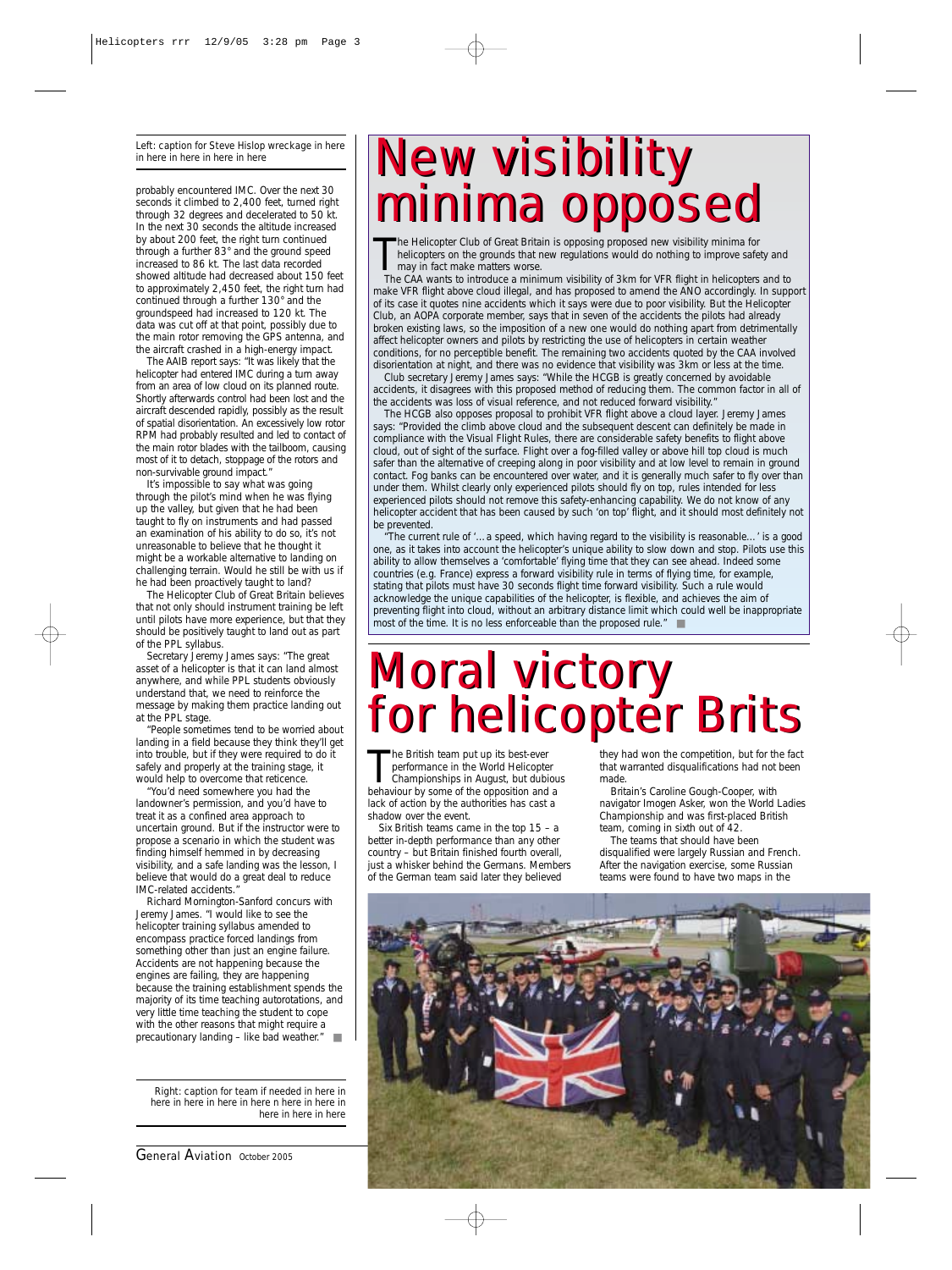## *Left: caption for Steve Hislop wreckage in here in here in here in here in here*

probably encountered IMC. Over the next 30 seconds it climbed to 2,400 feet, turned right through 32 degrees and decelerated to 50 kt. In the next 30 seconds the altitude increased by about 200 feet, the right turn continued through a further 83° and the ground speed increased to 86 kt. The last data recorded showed altitude had decreased about 150 feet to approximately 2,450 feet, the right turn had continued through a further 130° and the groundspeed had increased to 120 kt. The data was cut off at that point, possibly due to the main rotor removing the GPS antenna, and the aircraft crashed in a high-energy impact.

The AAIB report says: "It was likely that the helicopter had entered IMC during a turn away from an area of low cloud on its planned route. Shortly afterwards control had been lost and the aircraft descended rapidly, possibly as the result of spatial disorientation. An excessively low rotor RPM had probably resulted and led to contact of the main rotor blades with the tailboom, causing most of it to detach, stoppage of the rotors and non-survivable ground impact."

It's impossible to say what was going through the pilot's mind when he was flying up the valley, but given that he had been taught to fly on instruments and had passed an examination of his ability to do so, it's not unreasonable to believe that he thought it might be a workable alternative to landing on challenging terrain. Would he still be with us if he had been proactively taught to land?

The Helicopter Club of Great Britain believes that not only should instrument training be left until pilots have more experience, but that they should be positively taught to land out as part of the PPL syllabus.

Secretary Jeremy James says: "The great asset of a helicopter is that it can land almost anywhere, and while PPL students obviously understand that, we need to reinforce the message by making them practice landing out at the PPL stage.

"People sometimes tend to be worried about landing in a field because they think they'll get into trouble, but if they were required to do it safely and properly at the training stage, it would help to overcome that reticence.

"You'd need somewhere you had the landowner's permission, and you'd have to treat it as a confined area approach to uncertain ground. But if the instructor were to propose a scenario in which the student was finding himself hemmed in by decreasing visibility, and a safe landing was the lesson, I believe that would do a great deal to reduce IMC-related accidents.

Richard Mornington-Sanford concurs with Jeremy James. "I would like to see the helicopter training syllabus amended to encompass practice forced landings from something other than just an engine failure. Accidents are not happening because the engines are failing, they are happening because the training establishment spends the majority of its time teaching autorotations, and very little time teaching the student to cope with the other reasons that might require a precautionary landing – like bad weather." ■

*Right: caption for team if needed in here in here in here in here in here n here in here in here in here in here*

*General Aviation October 2005* 

## *New visibility New visibility minima opposed minima opposed*

The Helicopter Club of Great Britain is opposing proposed new visibility minima for<br>helicopters on the grounds that new regulations would do nothing to improve safety and<br>may in fact make matters worse.<br>The CAA wants to in he Helicopter Club of Great Britain is opposing proposed new visibility minima for helicopters on the grounds that new regulations would do nothing to improve safety and may in fact make matters worse.

make VFR flight above cloud illegal, and has proposed to amend the ANO accordingly. In support of its case it quotes nine accidents which it says were due to poor visibility. But the Helicopte Club, an AOPA corporate member, says that in seven of the accidents the pilots had already broken existing laws, so the imposition of a new one would do nothing apart from detrimentally affect helicopter owners and pilots by restricting the use of helicopters in certain weather conditions, for no perceptible benefit. The remaining two accidents quoted by the CAA involved disorientation at night, and there was no evidence that visibility was 3km or less at the time.

Club secretary Jeremy James says: "While the HCGB is greatly concerned by avoidable accidents, it disagrees with this proposed method of reducing them. The common factor in all of the accidents was loss of visual reference, and not reduced forward visibility."

The HCGB also opposes proposal to prohibit VFR flight above a cloud layer. Jeremy James says: "Provided the climb above cloud and the subsequent descent can definitely be made in compliance with the Visual Flight Rules, there are considerable safety benefits to flight above cloud, out of sight of the surface. Flight over a fog-filled valley or above hill top cloud is much safer than the alternative of creeping along in poor visibility and at low level to remain in ground contact. Fog banks can be encountered over water, and it is generally much safer to fly over than under them. Whilst clearly only experienced pilots should fly on top, rules intended for less experienced pilots should not remove this safety-enhancing capability. We do not know of any helicopter accident that has been caused by such 'on top' flight, and it should most definitely not be prevented.

"The current rule of '…a speed, which having regard to the visibility is reasonable…' is a good one, as it takes into account the helicopter's unique ability to slow down and stop. Pilots use this ability to allow themselves a 'comfortable' flying time that they can see ahead. Indeed some countries (e.g. France) express a forward visibility rule in terms of flying time, for example, stating that pilots must have 30 seconds flight time forward visibility. Such a rule would acknowledge the unique capabilities of the helicopter, is flexible, and achieves the aim of preventing flight into cloud, without an arbitrary distance limit which could well be inappropriate most of the time. It is no less enforceable than the proposed rule." ■

## *Moral victory for helicopter Brits Moral victory for helicopter Brits*

he British team put up its best-ever

The British team put up its best-ever<br>performance in the World Helicopter<br>Championships in August, but dubiou<br>behaviour by some of the opposition and a performance in the World Helicopter Championships in August, but dubious lack of action by the authorities has cast a shadow over the event.

Six British teams came in the top 15 – a better in-depth performance than any other country – but Britain finished fourth overall, just a whisker behind the Germans. Members of the German team said later they believed

they had won the competition, but for the fact that warranted disqualifications had not been made.

Britain's Caroline Gough-Cooper, with navigator Imogen Asker, won the World Ladies Championship and was first-placed British team, coming in sixth out of 42.

The teams that should have been disqualified were largely Russian and French. After the navigation exercise, some Russian teams were found to have two maps in the

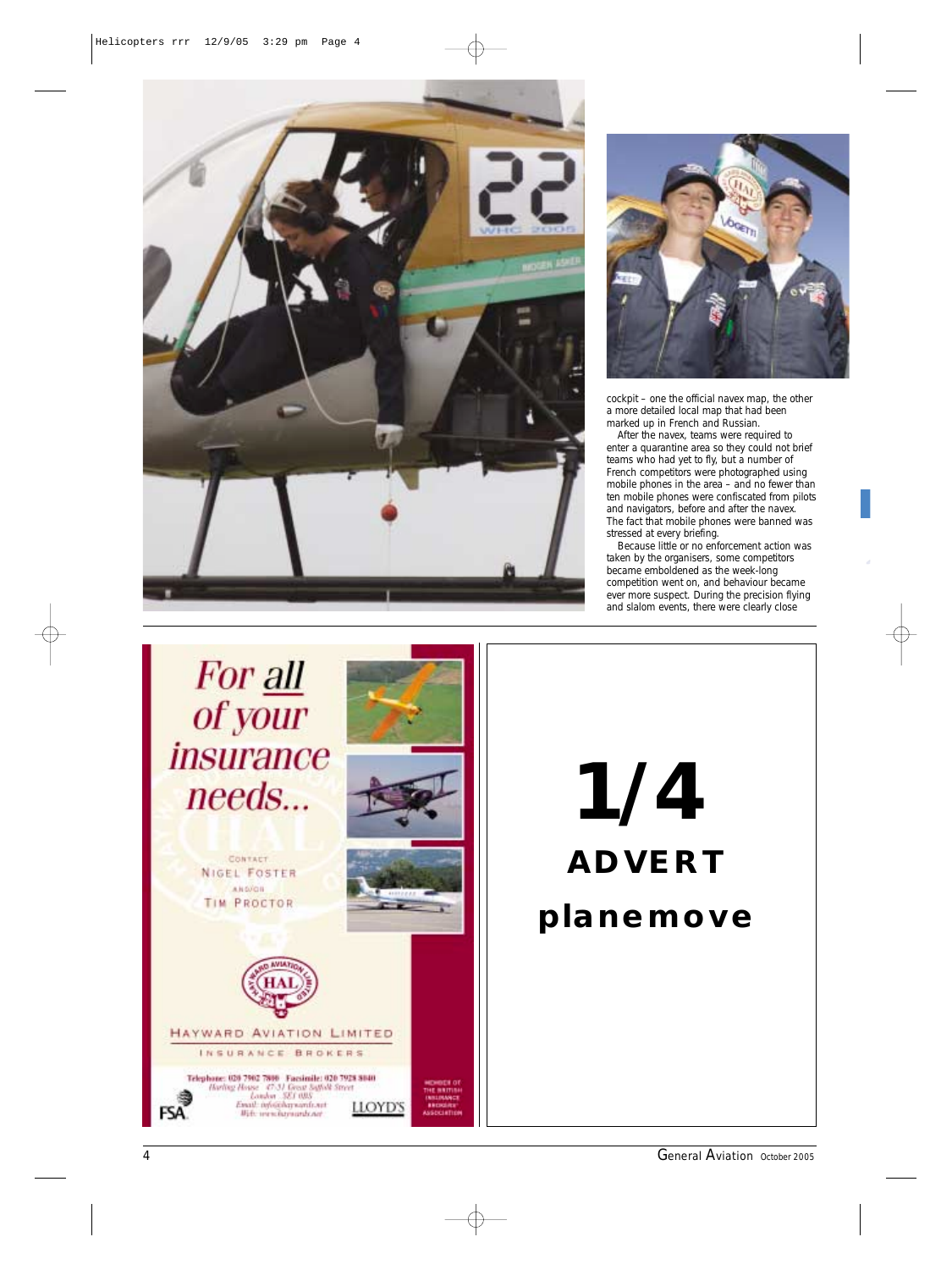



cockpit – one the official navex map, the other a more detailed local map that had been marked up in French and Russian.

After the navex, teams were required to enter a quarantine area so they could not brief teams who had yet to fly, but a number of French competitors were photographed using mobile phones in the area – and no fewer than ten mobile phones were confiscated from pilots and navigators, before and after the navex. The fact that mobile phones were banned was stressed at every briefing.

Because little or no enforcement action was taken by the organisers, some competitors became emboldened as the week-long competition went on, and behaviour became ever more suspect. During the precision flying and slalom events, there were clearly close



4 *General Aviation October 2005*